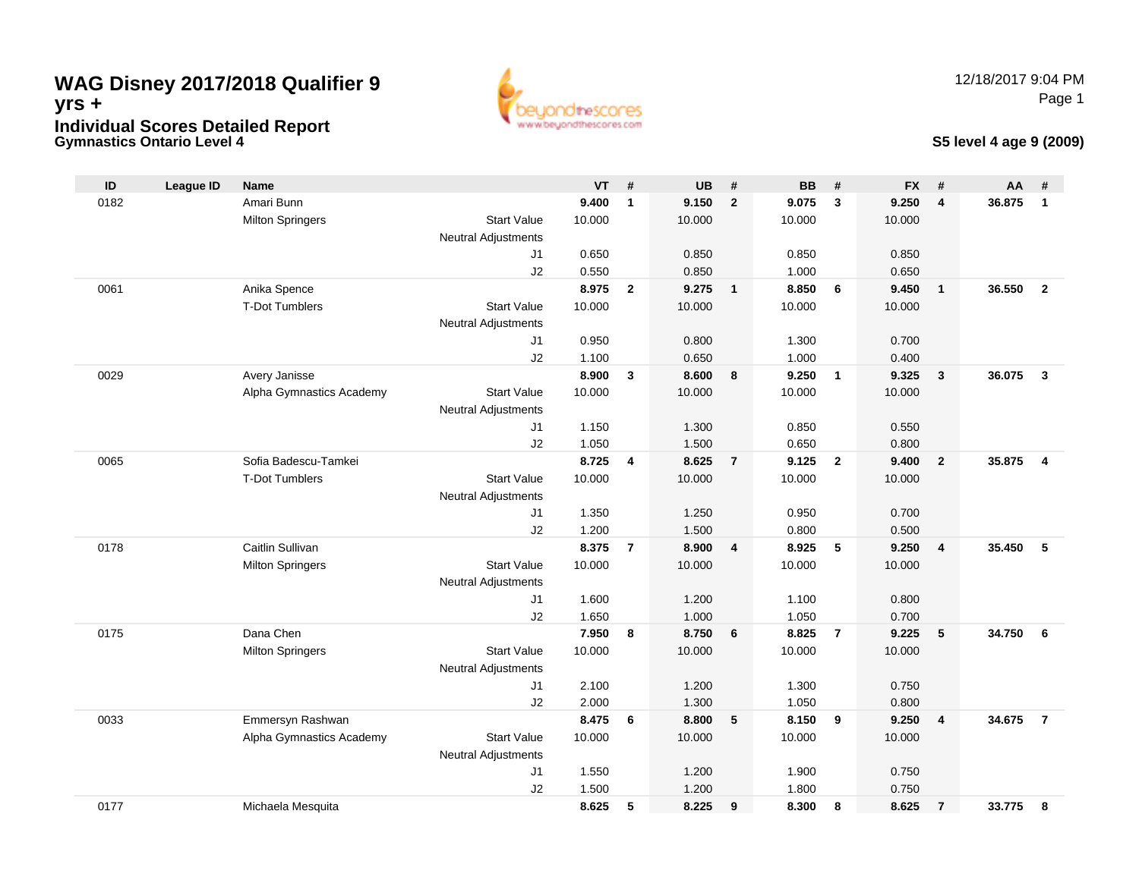### **Gymnastics Ontario Level 4WAG Disney 2017/2018 Qualifier 9yrs +Individual Scores Detailed Report**



### **S5 level 4 age 9 (2009)**

| ID   | <b>League ID</b> | <b>Name</b>              |                            | <b>VT</b>      | #              | <b>UB</b>      | #                       | <b>BB</b>      | #                       | <b>FX</b>      | #                       | AA     | #              |
|------|------------------|--------------------------|----------------------------|----------------|----------------|----------------|-------------------------|----------------|-------------------------|----------------|-------------------------|--------|----------------|
| 0182 |                  | Amari Bunn               |                            | 9.400          | $\mathbf{1}$   | 9.150          | $\overline{2}$          | 9.075          | 3                       | 9.250          | 4                       | 36.875 | $\mathbf{1}$   |
|      |                  | <b>Milton Springers</b>  | <b>Start Value</b>         | 10.000         |                | 10.000         |                         | 10.000         |                         | 10.000         |                         |        |                |
|      |                  |                          | <b>Neutral Adjustments</b> |                |                |                |                         |                |                         |                |                         |        |                |
|      |                  |                          | J1                         | 0.650          |                | 0.850          |                         | 0.850          |                         | 0.850          |                         |        |                |
|      |                  |                          | J2                         | 0.550          |                | 0.850          |                         | 1.000          |                         | 0.650          |                         |        |                |
| 0061 |                  | Anika Spence             |                            | 8.975          | $\overline{2}$ | 9.275          | $\overline{\mathbf{1}}$ | 8.850          | 6                       | 9.450          | $\overline{1}$          | 36.550 | $\overline{2}$ |
|      |                  | <b>T-Dot Tumblers</b>    | <b>Start Value</b>         | 10.000         |                | 10.000         |                         | 10.000         |                         | 10.000         |                         |        |                |
|      |                  |                          | <b>Neutral Adjustments</b> |                |                |                |                         |                |                         |                |                         |        |                |
|      |                  |                          | J1                         | 0.950          |                | 0.800          |                         | 1.300          |                         | 0.700          |                         |        |                |
|      |                  |                          | J2                         | 1.100          |                | 0.650          |                         | 1.000          |                         | 0.400          |                         |        |                |
| 0029 |                  | Avery Janisse            |                            | 8.900          | 3              | 8.600          | 8                       | 9.250          | $\overline{\mathbf{1}}$ | 9.325          | $\overline{\mathbf{3}}$ | 36.075 | $\mathbf{3}$   |
|      |                  | Alpha Gymnastics Academy | <b>Start Value</b>         | 10.000         |                | 10.000         |                         | 10.000         |                         | 10.000         |                         |        |                |
|      |                  |                          | <b>Neutral Adjustments</b> |                |                |                |                         |                |                         |                |                         |        |                |
|      |                  |                          | J1                         | 1.150          |                | 1.300          |                         | 0.850          |                         | 0.550          |                         |        |                |
|      |                  |                          | J2                         | 1.050          |                | 1.500          |                         | 0.650          |                         | 0.800          |                         |        |                |
| 0065 |                  | Sofia Badescu-Tamkei     |                            | 8.725          | 4              | 8.625          | $\overline{7}$          | 9.125          | $\overline{2}$          | 9.400          | $\overline{2}$          | 35.875 | $\overline{4}$ |
|      |                  | <b>T-Dot Tumblers</b>    | <b>Start Value</b>         | 10.000         |                | 10.000         |                         | 10.000         |                         | 10.000         |                         |        |                |
|      |                  |                          | <b>Neutral Adjustments</b> |                |                |                |                         |                |                         |                |                         |        |                |
|      |                  |                          | J1                         | 1.350          |                | 1.250          |                         | 0.950          |                         | 0.700          |                         |        |                |
|      |                  |                          | J2                         | 1.200          |                | 1.500          |                         | 0.800          |                         | 0.500          |                         |        |                |
| 0178 |                  | Caitlin Sullivan         |                            | 8.375          | $\overline{7}$ | 8.900          | $\overline{\mathbf{4}}$ | 8.925          | $5\phantom{.0}$         | 9.250          | $\overline{\mathbf{4}}$ | 35.450 | 5              |
|      |                  | <b>Milton Springers</b>  | <b>Start Value</b>         | 10.000         |                | 10.000         |                         | 10.000         |                         | 10.000         |                         |        |                |
|      |                  |                          | <b>Neutral Adjustments</b> |                |                |                |                         |                |                         |                |                         |        |                |
|      |                  |                          | J1                         | 1.600          |                | 1.200          |                         | 1.100          |                         | 0.800          |                         |        |                |
| 0175 |                  | Dana Chen                | J2                         | 1.650<br>7.950 | 8              | 1.000<br>8.750 | 6                       | 1.050<br>8.825 | $\overline{7}$          | 0.700<br>9.225 | 5                       | 34.750 | 6              |
|      |                  | <b>Milton Springers</b>  | <b>Start Value</b>         | 10.000         |                | 10.000         |                         | 10.000         |                         | 10.000         |                         |        |                |
|      |                  |                          | <b>Neutral Adjustments</b> |                |                |                |                         |                |                         |                |                         |        |                |
|      |                  |                          | J1                         | 2.100          |                | 1.200          |                         | 1.300          |                         | 0.750          |                         |        |                |
|      |                  |                          | J2                         | 2.000          |                | 1.300          |                         | 1.050          |                         | 0.800          |                         |        |                |
| 0033 |                  | Emmersyn Rashwan         |                            | 8.475          | 6              | 8.800          | 5                       | 8.150          | 9                       | 9.250          | $\overline{\mathbf{4}}$ | 34.675 | $\overline{7}$ |
|      |                  | Alpha Gymnastics Academy | <b>Start Value</b>         | 10.000         |                | 10.000         |                         | 10.000         |                         | 10.000         |                         |        |                |
|      |                  |                          | <b>Neutral Adjustments</b> |                |                |                |                         |                |                         |                |                         |        |                |
|      |                  |                          | J1                         | 1.550          |                | 1.200          |                         | 1.900          |                         | 0.750          |                         |        |                |
|      |                  |                          | J2                         | 1.500          |                | 1.200          |                         | 1.800          |                         | 0.750          |                         |        |                |
| 0177 |                  | Michaela Mesquita        |                            | 8.625          | 5              | 8.225          | 9                       | 8.300          | 8                       | 8.625          | $\overline{7}$          | 33.775 | 8              |
|      |                  |                          |                            |                |                |                |                         |                |                         |                |                         |        |                |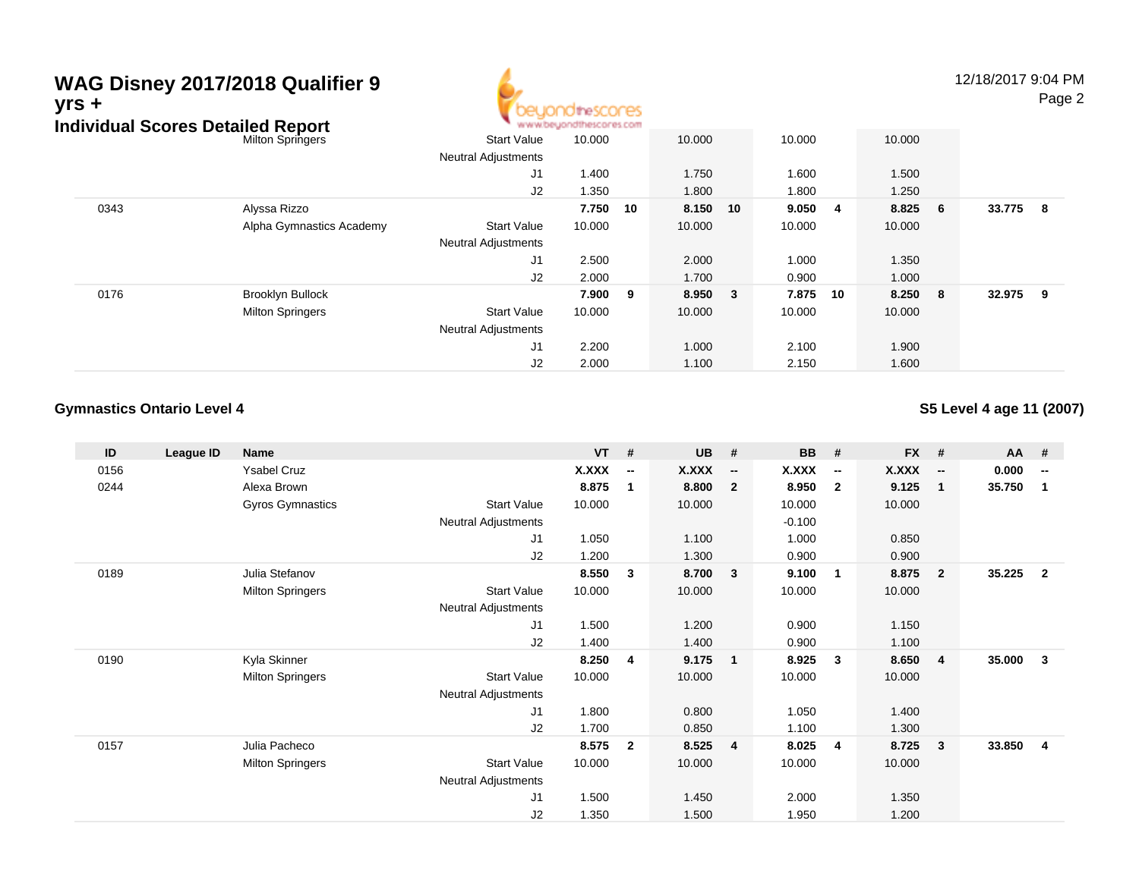#### **WAG Disney 2017/2018 Qualifier 9**12/18/2017 9:04 PM Page 2**yrs +**theSCOCES www.beyondthescores.com **Individual Scores Detailed Report** Start ValueMilton Springerse 10.000 10.000 10.000 10.000 Neutral Adjustments J1 1.400 1.750 1.600 1.500 J2 1.350 1.800 1.800 1.250 0343 Alyssa Rizzo **7.750 <sup>10</sup> 8.150 <sup>10</sup> 9.050 <sup>4</sup> 8.825 <sup>6</sup> 33.775 <sup>8</sup>** Alpha Gymnastics Academy Start Valuee 10.000 10.000 10.000 10.000 Neutral Adjustments J1 2.500 2.000 1.000 1.350 J2 2.000 1.700 0.900 1.000 0176 Brooklyn Bullock **7.900 <sup>9</sup> 8.950 <sup>3</sup> 7.875 <sup>10</sup> 8.250 <sup>8</sup> 32.975 <sup>9</sup>** Milton Springers Start Valuee 10.000 10.000 10.000 10.000 Neutral Adjustments

J1

J2

2.200 1.000 2.100 1.900

2.000 1.100 2.150 1.600

#### **Gymnastics Ontario Level 4**

**S5 Level 4 age 11 (2007)**

| ID   | League ID | Name                    |                            | <b>VT</b> | #                        | <b>UB</b>    | #                        | <b>BB</b>    | #                        | FX #   |                          | <b>AA</b> | #                        |
|------|-----------|-------------------------|----------------------------|-----------|--------------------------|--------------|--------------------------|--------------|--------------------------|--------|--------------------------|-----------|--------------------------|
| 0156 |           | <b>Ysabel Cruz</b>      |                            | X.XXX     | $\overline{\phantom{a}}$ | <b>X.XXX</b> | $\overline{\phantom{a}}$ | <b>X.XXX</b> | $\overline{\phantom{a}}$ | X.XXX  | $\overline{\phantom{a}}$ | 0.000     | $\overline{\phantom{a}}$ |
| 0244 |           | Alexa Brown             |                            | 8.875     | 1                        | 8.800        | $\overline{2}$           | 8.950        | $\overline{\mathbf{2}}$  | 9.125  | $\overline{\mathbf{1}}$  | 35.750    | $\mathbf 1$              |
|      |           | Gyros Gymnastics        | <b>Start Value</b>         | 10.000    |                          | 10.000       |                          | 10.000       |                          | 10.000 |                          |           |                          |
|      |           |                         | Neutral Adjustments        |           |                          |              |                          | $-0.100$     |                          |        |                          |           |                          |
|      |           |                         | J1                         | 1.050     |                          | 1.100        |                          | 1.000        |                          | 0.850  |                          |           |                          |
|      |           |                         | J <sub>2</sub>             | 1.200     |                          | 1.300        |                          | 0.900        |                          | 0.900  |                          |           |                          |
| 0189 |           | Julia Stefanov          |                            | 8.550     | 3                        | 8.700        | $\overline{\mathbf{3}}$  | 9.100        | $\overline{1}$           | 8.875  | $\overline{\mathbf{2}}$  | 35.225    | $\overline{2}$           |
|      |           | <b>Milton Springers</b> | <b>Start Value</b>         | 10.000    |                          | 10.000       |                          | 10.000       |                          | 10.000 |                          |           |                          |
|      |           |                         | <b>Neutral Adjustments</b> |           |                          |              |                          |              |                          |        |                          |           |                          |
|      |           |                         | J1                         | 1.500     |                          | 1.200        |                          | 0.900        |                          | 1.150  |                          |           |                          |
|      |           |                         | J <sub>2</sub>             | 1.400     |                          | 1.400        |                          | 0.900        |                          | 1.100  |                          |           |                          |
| 0190 |           | Kyla Skinner            |                            | 8.250     | 4                        | 9.175        | $\mathbf{1}$             | 8.925        | $\mathbf{3}$             | 8.650  | - 4                      | 35.000    | 3                        |
|      |           | <b>Milton Springers</b> | <b>Start Value</b>         | 10.000    |                          | 10.000       |                          | 10.000       |                          | 10.000 |                          |           |                          |
|      |           |                         | Neutral Adjustments        |           |                          |              |                          |              |                          |        |                          |           |                          |
|      |           |                         | J1                         | 1.800     |                          | 0.800        |                          | 1.050        |                          | 1.400  |                          |           |                          |
|      |           |                         | J2                         | 1.700     |                          | 0.850        |                          | 1.100        |                          | 1.300  |                          |           |                          |
| 0157 |           | Julia Pacheco           |                            | 8.575     | $\mathbf{2}$             | 8.525        | $\overline{4}$           | 8.025        | 4                        | 8.725  | -3                       | 33.850    | $\overline{4}$           |
|      |           | <b>Milton Springers</b> | <b>Start Value</b>         | 10.000    |                          | 10.000       |                          | 10.000       |                          | 10.000 |                          |           |                          |
|      |           |                         | <b>Neutral Adjustments</b> |           |                          |              |                          |              |                          |        |                          |           |                          |
|      |           |                         | J <sub>1</sub>             | 1.500     |                          | 1.450        |                          | 2.000        |                          | 1.350  |                          |           |                          |
|      |           |                         | J2                         | 1.350     |                          | 1.500        |                          | 1.950        |                          | 1.200  |                          |           |                          |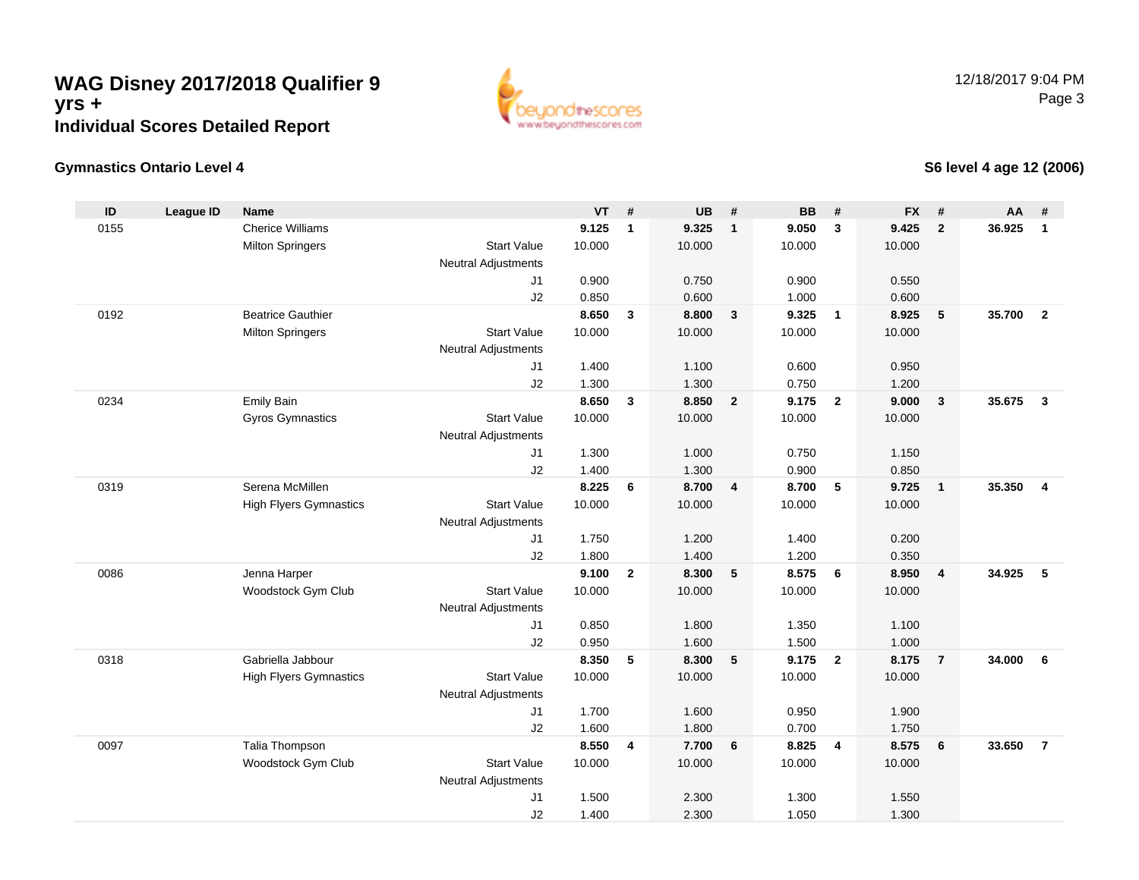

### **Gymnastics Ontario Level 4**

**S6 level 4 age 12 (2006)**

| ID   | <b>League ID</b> | <b>Name</b>                   |                            | <b>VT</b>      | #              | <b>UB</b>      | #                       | <b>BB</b>      | #                       | <b>FX</b>      | #               | <b>AA</b> | #              |
|------|------------------|-------------------------------|----------------------------|----------------|----------------|----------------|-------------------------|----------------|-------------------------|----------------|-----------------|-----------|----------------|
| 0155 |                  | <b>Cherice Williams</b>       |                            | 9.125          | $\mathbf{1}$   | 9.325          | $\overline{1}$          | 9.050          | 3                       | 9.425          | $\overline{2}$  | 36.925    | $\mathbf{1}$   |
|      |                  | <b>Milton Springers</b>       | <b>Start Value</b>         | 10.000         |                | 10.000         |                         | 10.000         |                         | 10.000         |                 |           |                |
|      |                  |                               | <b>Neutral Adjustments</b> |                |                |                |                         |                |                         |                |                 |           |                |
|      |                  |                               | J1                         | 0.900          |                | 0.750          |                         | 0.900          |                         | 0.550          |                 |           |                |
|      |                  |                               | J2                         | 0.850          |                | 0.600          |                         | 1.000          |                         | 0.600          |                 |           |                |
| 0192 |                  | <b>Beatrice Gauthier</b>      |                            | 8.650          | $\mathbf{3}$   | 8.800          | $\overline{\mathbf{3}}$ | 9.325          | $\overline{1}$          | 8.925          | 5               | 35.700    | $\overline{2}$ |
|      |                  | <b>Milton Springers</b>       | <b>Start Value</b>         | 10.000         |                | 10.000         |                         | 10.000         |                         | 10.000         |                 |           |                |
|      |                  |                               | <b>Neutral Adjustments</b> |                |                |                |                         |                |                         |                |                 |           |                |
|      |                  |                               | J1                         | 1.400          |                | 1.100          |                         | 0.600          |                         | 0.950          |                 |           |                |
| 0234 |                  | Emily Bain                    | J2                         | 1.300<br>8.650 | $\mathbf{3}$   | 1.300<br>8.850 | $\overline{2}$          | 0.750<br>9.175 | $\overline{2}$          | 1.200<br>9.000 | $\mathbf{3}$    | 35.675    | $\mathbf{3}$   |
|      |                  | Gyros Gymnastics              | <b>Start Value</b>         | 10.000         |                | 10.000         |                         | 10.000         |                         | 10.000         |                 |           |                |
|      |                  |                               | <b>Neutral Adjustments</b> |                |                |                |                         |                |                         |                |                 |           |                |
|      |                  |                               | J1                         | 1.300          |                | 1.000          |                         | 0.750          |                         | 1.150          |                 |           |                |
|      |                  |                               | J2                         | 1.400          |                | 1.300          |                         | 0.900          |                         | 0.850          |                 |           |                |
| 0319 |                  | Serena McMillen               |                            | 8.225          | 6              | 8.700          | $\overline{\mathbf{4}}$ | 8.700          | 5                       | 9.725          | $\mathbf{1}$    | 35.350    | $\overline{4}$ |
|      |                  | <b>High Flyers Gymnastics</b> | <b>Start Value</b>         | 10.000         |                | 10.000         |                         | 10.000         |                         | 10.000         |                 |           |                |
|      |                  |                               | <b>Neutral Adjustments</b> |                |                |                |                         |                |                         |                |                 |           |                |
|      |                  |                               | J1                         | 1.750          |                | 1.200          |                         | 1.400          |                         | 0.200          |                 |           |                |
|      |                  |                               | J2                         | 1.800          |                | 1.400          |                         | 1.200          |                         | 0.350          |                 |           |                |
| 0086 |                  | Jenna Harper                  |                            | 9.100          | $\mathbf{2}$   | 8.300          | $5\phantom{.0}$         | 8.575          | 6                       | 8.950          | 4               | 34.925    | 5              |
|      |                  | Woodstock Gym Club            | <b>Start Value</b>         | 10.000         |                | 10.000         |                         | 10.000         |                         | 10.000         |                 |           |                |
|      |                  |                               | <b>Neutral Adjustments</b> |                |                |                |                         |                |                         |                |                 |           |                |
|      |                  |                               | J1                         | 0.850          |                | 1.800          |                         | 1.350          |                         | 1.100          |                 |           |                |
|      |                  |                               | J2                         | 0.950          |                | 1.600          |                         | 1.500          |                         | 1.000          |                 |           |                |
| 0318 |                  | Gabriella Jabbour             |                            | 8.350          | $\sqrt{5}$     | 8.300          | 5                       | 9.175          | $\overline{2}$          | 8.175          | $\overline{7}$  | 34.000    | 6              |
|      |                  | <b>High Flyers Gymnastics</b> | <b>Start Value</b>         | 10.000         |                | 10.000         |                         | 10.000         |                         | 10.000         |                 |           |                |
|      |                  |                               | <b>Neutral Adjustments</b> |                |                |                |                         |                |                         |                |                 |           |                |
|      |                  |                               | J1<br>J2                   | 1.700<br>1.600 |                | 1.600<br>1.800 |                         | 0.950<br>0.700 |                         | 1.900<br>1.750 |                 |           |                |
| 0097 |                  | Talia Thompson                |                            | 8.550          | $\overline{4}$ | 7.700          | 6                       | 8.825          | $\overline{\mathbf{4}}$ | 8.575          | $6\phantom{1}6$ | 33.650    | $\overline{7}$ |
|      |                  | Woodstock Gym Club            | <b>Start Value</b>         | 10.000         |                | 10.000         |                         | 10.000         |                         | 10.000         |                 |           |                |
|      |                  |                               | <b>Neutral Adjustments</b> |                |                |                |                         |                |                         |                |                 |           |                |
|      |                  |                               | J1                         | 1.500          |                | 2.300          |                         | 1.300          |                         | 1.550          |                 |           |                |
|      |                  |                               | J2                         | 1.400          |                | 2.300          |                         | 1.050          |                         | 1.300          |                 |           |                |
|      |                  |                               |                            |                |                |                |                         |                |                         |                |                 |           |                |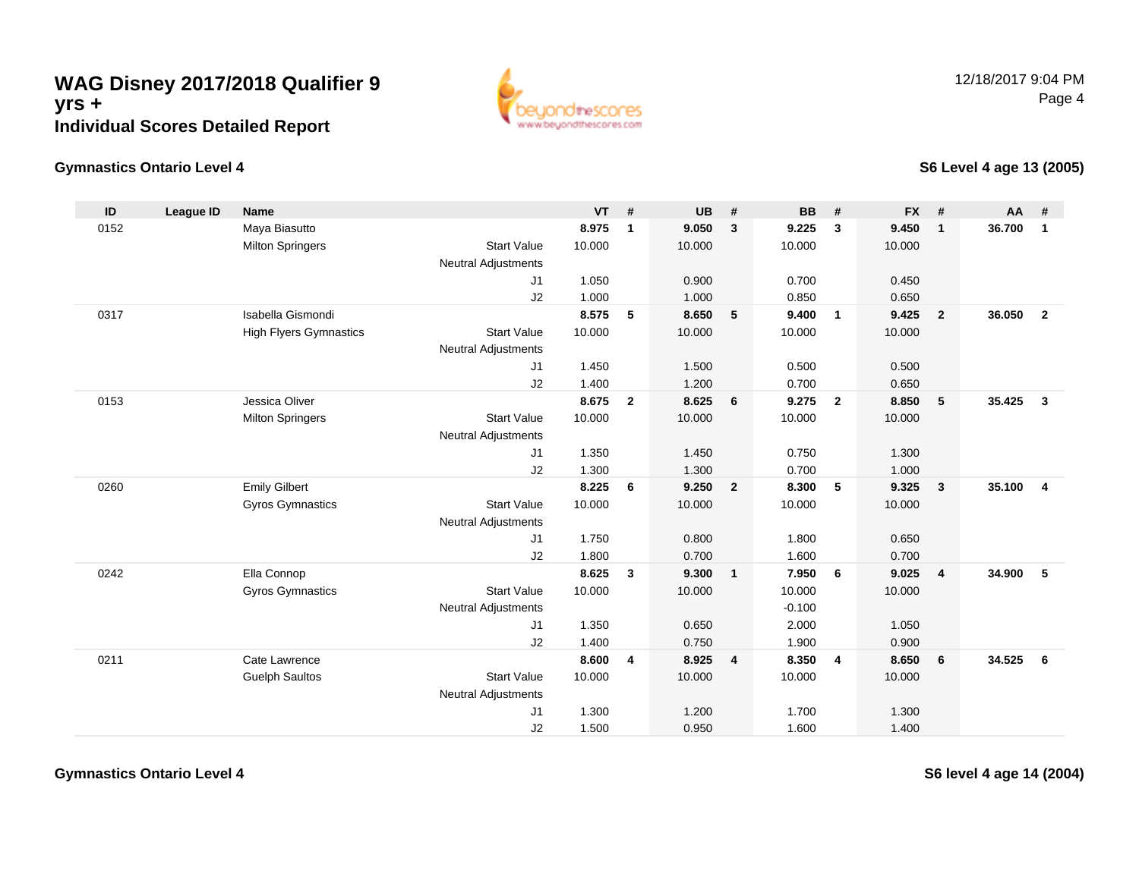

### **Gymnastics Ontario Level 4**

**S6 Level 4 age 13 (2005)**

| ID   | <b>League ID</b> | <b>Name</b>                   |                            | <b>VT</b> | #              | <b>UB</b> | #              | <b>BB</b> | #              | <b>FX</b> | #              | <b>AA</b> | #              |
|------|------------------|-------------------------------|----------------------------|-----------|----------------|-----------|----------------|-----------|----------------|-----------|----------------|-----------|----------------|
| 0152 |                  | Maya Biasutto                 |                            | 8.975     | $\mathbf{1}$   | 9.050     | $\mathbf{3}$   | 9.225     | $\mathbf{3}$   | 9.450     | $\mathbf{1}$   | 36.700    | $\mathbf{1}$   |
|      |                  | <b>Milton Springers</b>       | <b>Start Value</b>         | 10.000    |                | 10.000    |                | 10.000    |                | 10.000    |                |           |                |
|      |                  |                               | <b>Neutral Adjustments</b> |           |                |           |                |           |                |           |                |           |                |
|      |                  |                               | J1                         | 1.050     |                | 0.900     |                | 0.700     |                | 0.450     |                |           |                |
|      |                  |                               | J2                         | 1.000     |                | 1.000     |                | 0.850     |                | 0.650     |                |           |                |
| 0317 |                  | Isabella Gismondi             |                            | 8.575     | 5              | 8.650     | 5              | 9.400     | $\overline{1}$ | 9.425     | $\overline{2}$ | 36.050    | $\overline{2}$ |
|      |                  | <b>High Flyers Gymnastics</b> | <b>Start Value</b>         | 10.000    |                | 10.000    |                | 10.000    |                | 10.000    |                |           |                |
|      |                  |                               | Neutral Adjustments        |           |                |           |                |           |                |           |                |           |                |
|      |                  |                               | J1                         | 1.450     |                | 1.500     |                | 0.500     |                | 0.500     |                |           |                |
|      |                  |                               | J2                         | 1.400     |                | 1.200     |                | 0.700     |                | 0.650     |                |           |                |
| 0153 |                  | Jessica Oliver                |                            | 8.675     | $\overline{2}$ | 8.625     | 6              | 9.275     | $\overline{2}$ | 8.850     | 5              | 35.425    | $\mathbf{3}$   |
|      |                  | <b>Milton Springers</b>       | <b>Start Value</b>         | 10.000    |                | 10.000    |                | 10.000    |                | 10.000    |                |           |                |
|      |                  |                               | Neutral Adjustments        |           |                |           |                |           |                |           |                |           |                |
|      |                  |                               | J1                         | 1.350     |                | 1.450     |                | 0.750     |                | 1.300     |                |           |                |
|      |                  |                               | J2                         | 1.300     |                | 1.300     |                | 0.700     |                | 1.000     |                |           |                |
| 0260 |                  | <b>Emily Gilbert</b>          |                            | 8.225     | 6              | 9.250     | $\overline{2}$ | 8.300     | 5              | 9.325     | $\mathbf{3}$   | 35.100    | $\overline{4}$ |
|      |                  | <b>Gyros Gymnastics</b>       | <b>Start Value</b>         | 10.000    |                | 10.000    |                | 10.000    |                | 10.000    |                |           |                |
|      |                  |                               | Neutral Adjustments        |           |                |           |                |           |                |           |                |           |                |
|      |                  |                               | J1                         | 1.750     |                | 0.800     |                | 1.800     |                | 0.650     |                |           |                |
|      |                  |                               | J2                         | 1.800     |                | 0.700     |                | 1.600     |                | 0.700     |                |           |                |
| 0242 |                  | Ella Connop                   |                            | 8.625     | $\mathbf{3}$   | 9.300     | $\overline{1}$ | 7.950     | 6              | 9.025     | $\overline{4}$ | 34.900    | 5              |
|      |                  | <b>Gyros Gymnastics</b>       | <b>Start Value</b>         | 10.000    |                | 10.000    |                | 10.000    |                | 10.000    |                |           |                |
|      |                  |                               | <b>Neutral Adjustments</b> |           |                |           |                | $-0.100$  |                |           |                |           |                |
|      |                  |                               | J1                         | 1.350     |                | 0.650     |                | 2.000     |                | 1.050     |                |           |                |
|      |                  |                               | J2                         | 1.400     |                | 0.750     |                | 1.900     |                | 0.900     |                |           |                |
| 0211 |                  | Cate Lawrence                 |                            | 8.600     | 4              | 8.925     | $\overline{4}$ | 8.350     | $\overline{4}$ | 8.650     | 6              | 34.525    | - 6            |
|      |                  | <b>Guelph Saultos</b>         | <b>Start Value</b>         | 10.000    |                | 10.000    |                | 10.000    |                | 10.000    |                |           |                |
|      |                  |                               | <b>Neutral Adjustments</b> |           |                |           |                |           |                |           |                |           |                |
|      |                  |                               | J1                         | 1.300     |                | 1.200     |                | 1.700     |                | 1.300     |                |           |                |
|      |                  |                               | J2                         | 1.500     |                | 0.950     |                | 1.600     |                | 1.400     |                |           |                |

**Gymnastics Ontario Level 4**

**S6 level 4 age 14 (2004)**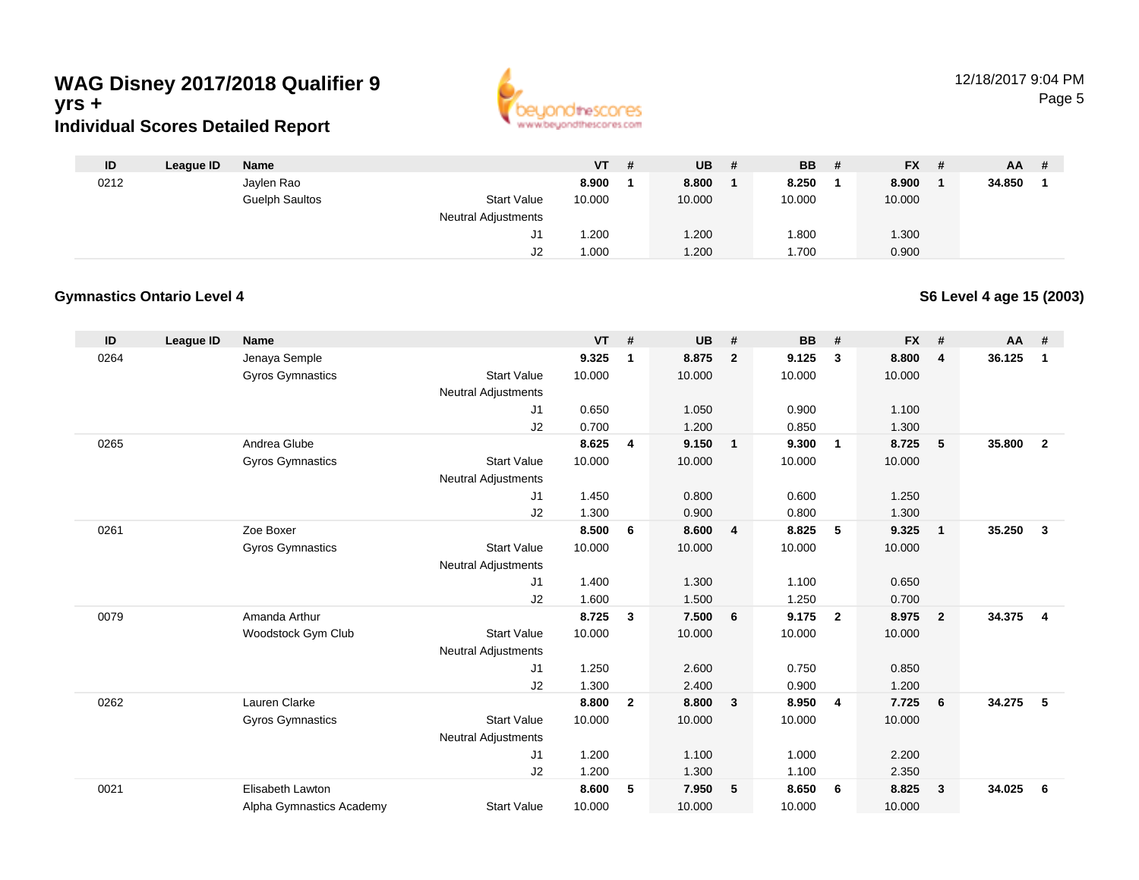

| ID   | League ID | Name                  |                            | $VT$ # | <b>UB</b> | <b>BB</b> | - # | <b>FX</b> | -# | AA.    | # |
|------|-----------|-----------------------|----------------------------|--------|-----------|-----------|-----|-----------|----|--------|---|
| 0212 |           | Jaylen Rao            |                            | 8.900  | 8.800     | 8.250     |     | 8.900     |    | 34.850 |   |
|      |           | <b>Guelph Saultos</b> | <b>Start Value</b>         | 10.000 | 10.000    | 10.000    |     | 10.000    |    |        |   |
|      |           |                       | <b>Neutral Adjustments</b> |        |           |           |     |           |    |        |   |
|      |           |                       | J1                         | 1.200  | 1.200     | 008.      |     | 1.300     |    |        |   |
|      |           |                       | J2                         | 1.000  | 1.200     | .700      |     | 0.900     |    |        |   |

#### **Gymnastics Ontario Level 4**

**S6 Level 4 age 15 (2003)**

| ID   | <b>League ID</b> | <b>Name</b>              |                            | <b>VT</b> | #              | <b>UB</b> | #                       | <b>BB</b> | #              | <b>FX</b> | #            | $AA$ # |                |
|------|------------------|--------------------------|----------------------------|-----------|----------------|-----------|-------------------------|-----------|----------------|-----------|--------------|--------|----------------|
| 0264 |                  | Jenaya Semple            |                            | 9.325     | 1              | 8.875     | $\overline{2}$          | 9.125     | 3              | 8.800     | 4            | 36.125 | $\mathbf{1}$   |
|      |                  | <b>Gyros Gymnastics</b>  | <b>Start Value</b>         | 10.000    |                | 10.000    |                         | 10.000    |                | 10.000    |              |        |                |
|      |                  |                          | <b>Neutral Adjustments</b> |           |                |           |                         |           |                |           |              |        |                |
|      |                  |                          | J1                         | 0.650     |                | 1.050     |                         | 0.900     |                | 1.100     |              |        |                |
|      |                  |                          | J2                         | 0.700     |                | 1.200     |                         | 0.850     |                | 1.300     |              |        |                |
| 0265 |                  | Andrea Glube             |                            | 8.625     | 4              | 9.150     | $\overline{1}$          | 9.300     | $\overline{1}$ | 8.725     | 5            | 35.800 | $\overline{2}$ |
|      |                  | <b>Gyros Gymnastics</b>  | <b>Start Value</b>         | 10.000    |                | 10.000    |                         | 10.000    |                | 10.000    |              |        |                |
|      |                  |                          | <b>Neutral Adjustments</b> |           |                |           |                         |           |                |           |              |        |                |
|      |                  |                          | J1                         | 1.450     |                | 0.800     |                         | 0.600     |                | 1.250     |              |        |                |
|      |                  |                          | J2                         | 1.300     |                | 0.900     |                         | 0.800     |                | 1.300     |              |        |                |
| 0261 |                  | Zoe Boxer                |                            | 8.500     | 6              | 8.600     | $\overline{4}$          | 8.825     | 5              | 9.325     | $\mathbf{1}$ | 35.250 | $\mathbf{3}$   |
|      |                  | Gyros Gymnastics         | <b>Start Value</b>         | 10.000    |                | 10.000    |                         | 10.000    |                | 10.000    |              |        |                |
|      |                  |                          | <b>Neutral Adjustments</b> |           |                |           |                         |           |                |           |              |        |                |
|      |                  |                          | J1                         | 1.400     |                | 1.300     |                         | 1.100     |                | 0.650     |              |        |                |
|      |                  |                          | J2                         | 1.600     |                | 1.500     |                         | 1.250     |                | 0.700     |              |        |                |
| 0079 |                  | Amanda Arthur            |                            | 8.725     | $\mathbf{3}$   | 7.500     | - 6                     | 9.175     | $\overline{2}$ | 8.975     | $\mathbf{2}$ | 34.375 | $\overline{4}$ |
|      |                  | Woodstock Gym Club       | <b>Start Value</b>         | 10.000    |                | 10.000    |                         | 10.000    |                | 10.000    |              |        |                |
|      |                  |                          | Neutral Adjustments        |           |                |           |                         |           |                |           |              |        |                |
|      |                  |                          | J1                         | 1.250     |                | 2.600     |                         | 0.750     |                | 0.850     |              |        |                |
|      |                  |                          | J2                         | 1.300     |                | 2.400     |                         | 0.900     |                | 1.200     |              |        |                |
| 0262 |                  | Lauren Clarke            |                            | 8.800     | $\overline{2}$ | 8.800     | $\overline{\mathbf{3}}$ | 8.950     | $\overline{4}$ | 7.725     | 6            | 34.275 | 5              |
|      |                  | <b>Gyros Gymnastics</b>  | <b>Start Value</b>         | 10.000    |                | 10.000    |                         | 10.000    |                | 10.000    |              |        |                |
|      |                  |                          | <b>Neutral Adjustments</b> |           |                |           |                         |           |                |           |              |        |                |
|      |                  |                          | J1                         | 1.200     |                | 1.100     |                         | 1.000     |                | 2.200     |              |        |                |
|      |                  |                          | J2                         | 1.200     |                | 1.300     |                         | 1.100     |                | 2.350     |              |        |                |
| 0021 |                  | Elisabeth Lawton         |                            | 8.600     | 5              | 7.950     | 5                       | 8.650     | - 6            | 8.825     | 3            | 34.025 | 6              |
|      |                  | Alpha Gymnastics Academy | <b>Start Value</b>         | 10.000    |                | 10.000    |                         | 10.000    |                | 10.000    |              |        |                |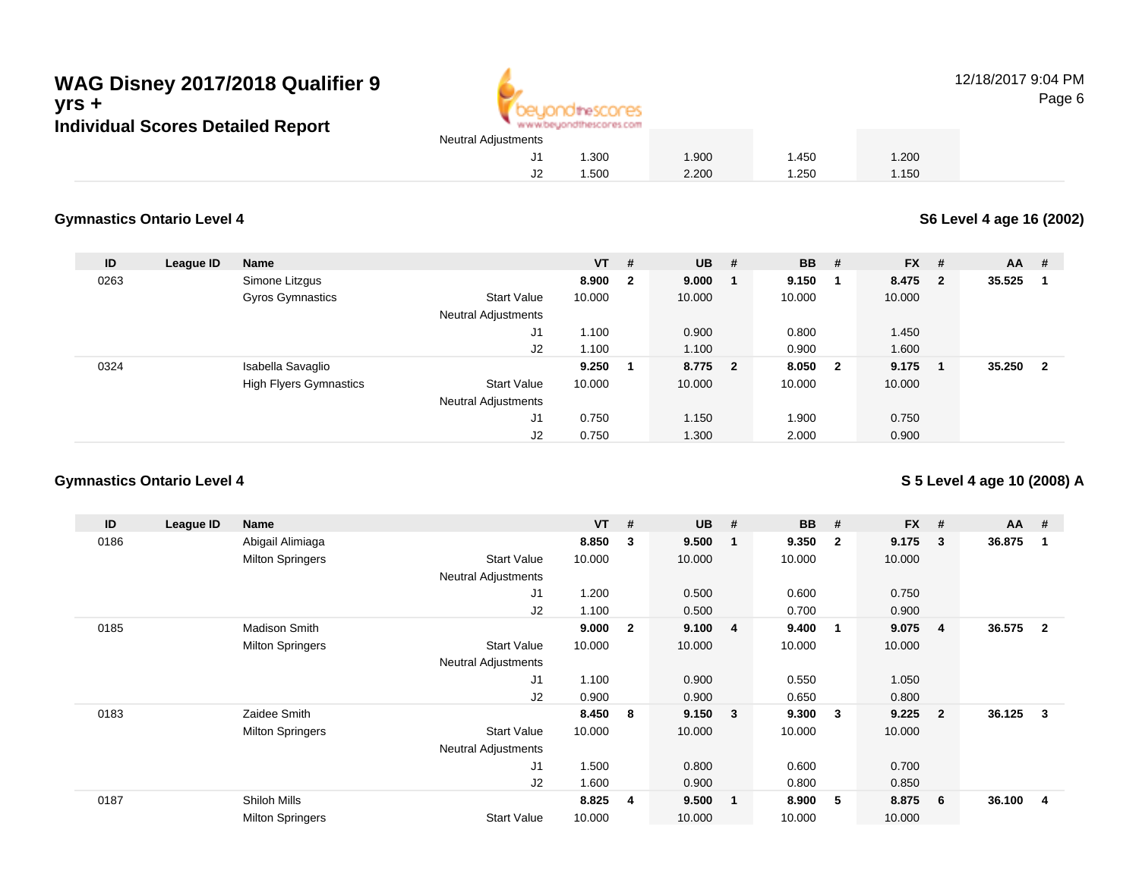

12/18/2017 9:04 PMPage 6

# 1.300 1.900 1.450 1.200 1.500 2.200 1.250 1.150

#### **Gymnastics Ontario Level 4**

**S6 Level 4 age 16 (2002)**

| ID   | League ID | <b>Name</b>                   |                            | $VT$ # |                         | <b>UB</b> # | <b>BB</b> | #                       | <b>FX</b> | - #                     | AA     | #                       |
|------|-----------|-------------------------------|----------------------------|--------|-------------------------|-------------|-----------|-------------------------|-----------|-------------------------|--------|-------------------------|
| 0263 |           | Simone Litzgus                |                            | 8.900  | $\overline{\mathbf{2}}$ | 9.000       | 9.150     | - 1                     | 8.475     | $\overline{\mathbf{2}}$ | 35.525 |                         |
|      |           | <b>Gyros Gymnastics</b>       | Start Value                | 10.000 |                         | 10.000      | 10.000    |                         | 10.000    |                         |        |                         |
|      |           |                               | <b>Neutral Adjustments</b> |        |                         |             |           |                         |           |                         |        |                         |
|      |           |                               | J1                         | 1.100  |                         | 0.900       | 0.800     |                         | 1.450     |                         |        |                         |
|      |           |                               | J2                         | 1.100  |                         | 1.100       | 0.900     |                         | 1.600     |                         |        |                         |
| 0324 |           | Isabella Savaglio             |                            | 9.250  | 1                       | 8.775 2     | 8.050     | $\overline{\mathbf{2}}$ | 9.175     |                         | 35.250 | $\overline{\mathbf{2}}$ |
|      |           | <b>High Flyers Gymnastics</b> | Start Value                | 10.000 |                         | 10.000      | 10.000    |                         | 10.000    |                         |        |                         |
|      |           |                               | <b>Neutral Adjustments</b> |        |                         |             |           |                         |           |                         |        |                         |
|      |           |                               | J1                         | 0.750  |                         | 1.150       | 1.900     |                         | 0.750     |                         |        |                         |
|      |           |                               | J2                         | 0.750  |                         | 1.300       | 2.000     |                         | 0.900     |                         |        |                         |

### **Gymnastics Ontario Level 4**

**S 5 Level 4 age 10 (2008) A**

| ID   | League ID | Name                    |                            | <b>VT</b> | #              | <b>UB</b> | #                       | <b>BB</b> | #            | FX #   |                | AA     | - #          |
|------|-----------|-------------------------|----------------------------|-----------|----------------|-----------|-------------------------|-----------|--------------|--------|----------------|--------|--------------|
| 0186 |           | Abigail Alimiaga        |                            | 8.850     | $\mathbf{3}$   | 9.500     | -1                      | 9.350     | $\mathbf{2}$ | 9.175  | 3              | 36.875 | 1            |
|      |           | <b>Milton Springers</b> | <b>Start Value</b>         | 10.000    |                | 10.000    |                         | 10.000    |              | 10.000 |                |        |              |
|      |           |                         | <b>Neutral Adjustments</b> |           |                |           |                         |           |              |        |                |        |              |
|      |           |                         | J1                         | 1.200     |                | 0.500     |                         | 0.600     |              | 0.750  |                |        |              |
|      |           |                         | J2                         | 1.100     |                | 0.500     |                         | 0.700     |              | 0.900  |                |        |              |
| 0185 |           | <b>Madison Smith</b>    |                            | 9.000     | $\overline{2}$ | 9.100     | $\overline{4}$          | 9.400     | -1           | 9.075  | 4              | 36.575 | $\mathbf{2}$ |
|      |           | <b>Milton Springers</b> | <b>Start Value</b>         | 10.000    |                | 10.000    |                         | 10.000    |              | 10.000 |                |        |              |
|      |           |                         | <b>Neutral Adjustments</b> |           |                |           |                         |           |              |        |                |        |              |
|      |           |                         | J1                         | 1.100     |                | 0.900     |                         | 0.550     |              | 1.050  |                |        |              |
|      |           |                         | J2                         | 0.900     |                | 0.900     |                         | 0.650     |              | 0.800  |                |        |              |
| 0183 |           | Zaidee Smith            |                            | 8.450     | - 8            | 9.150     | $\overline{\mathbf{3}}$ | 9.300     | 3            | 9.225  | $\overline{2}$ | 36.125 | $_{3}$       |
|      |           | <b>Milton Springers</b> | <b>Start Value</b>         | 10.000    |                | 10.000    |                         | 10.000    |              | 10.000 |                |        |              |
|      |           |                         | <b>Neutral Adjustments</b> |           |                |           |                         |           |              |        |                |        |              |
|      |           |                         | J1                         | 1.500     |                | 0.800     |                         | 0.600     |              | 0.700  |                |        |              |
|      |           |                         | J <sub>2</sub>             | 1.600     |                | 0.900     |                         | 0.800     |              | 0.850  |                |        |              |
| 0187 |           | Shiloh Mills            |                            | 8.825     | 4              | 9.500     | $\mathbf{1}$            | 8.900     | 5            | 8.875  | 6              | 36.100 | 4            |
|      |           | <b>Milton Springers</b> | <b>Start Value</b>         | 10.000    |                | 10.000    |                         | 10.000    |              | 10.000 |                |        |              |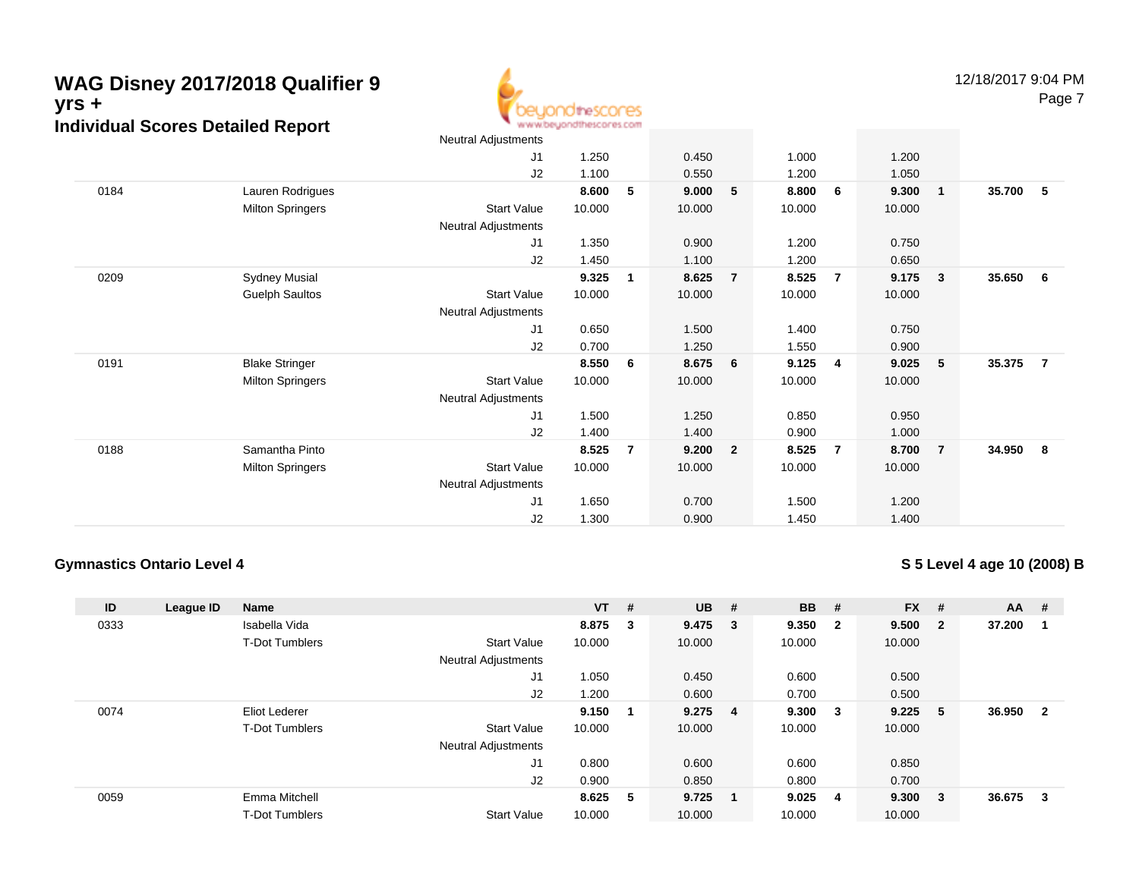**thes** www.beuondthescores.com

res

Page 7

|      |                         | Neutral Adjustments        |        |                |        |                         |        |                         |        |                |          |   |
|------|-------------------------|----------------------------|--------|----------------|--------|-------------------------|--------|-------------------------|--------|----------------|----------|---|
|      |                         | J <sub>1</sub>             | 1.250  |                | 0.450  |                         | 1.000  |                         | 1.200  |                |          |   |
|      |                         | J2                         | 1.100  |                | 0.550  |                         | 1.200  |                         | 1.050  |                |          |   |
| 0184 | Lauren Rodrigues        |                            | 8.600  | 5              | 9.000  | $-5$                    | 8.800  | - 6                     | 9.300  | $\mathbf{1}$   | 35.700   | 5 |
|      | <b>Milton Springers</b> | <b>Start Value</b>         | 10.000 |                | 10.000 |                         | 10.000 |                         | 10.000 |                |          |   |
|      |                         | <b>Neutral Adjustments</b> |        |                |        |                         |        |                         |        |                |          |   |
|      |                         | J1                         | 1.350  |                | 0.900  |                         | 1.200  |                         | 0.750  |                |          |   |
|      |                         | J2                         | 1.450  |                | 1.100  |                         | 1.200  |                         | 0.650  |                |          |   |
| 0209 | <b>Sydney Musial</b>    |                            | 9.325  | 1              | 8.625  | $\overline{7}$          | 8.525  | $\overline{7}$          | 9.175  | 3              | 35.650 6 |   |
|      | <b>Guelph Saultos</b>   | <b>Start Value</b>         | 10.000 |                | 10.000 |                         | 10.000 |                         | 10.000 |                |          |   |
|      |                         | Neutral Adjustments        |        |                |        |                         |        |                         |        |                |          |   |
|      |                         | J1                         | 0.650  |                | 1.500  |                         | 1.400  |                         | 0.750  |                |          |   |
|      |                         | J2                         | 0.700  |                | 1.250  |                         | 1.550  |                         | 0.900  |                |          |   |
| 0191 | <b>Blake Stringer</b>   |                            | 8.550  | 6              | 8.675  | $6\phantom{.0}6$        | 9.125  | $\overline{\mathbf{4}}$ | 9.025  | 5              | 35.375   | 7 |
|      | <b>Milton Springers</b> | <b>Start Value</b>         | 10.000 |                | 10.000 |                         | 10.000 |                         | 10.000 |                |          |   |
|      |                         | <b>Neutral Adjustments</b> |        |                |        |                         |        |                         |        |                |          |   |
|      |                         | J1                         | 1.500  |                | 1.250  |                         | 0.850  |                         | 0.950  |                |          |   |
|      |                         | J2                         | 1.400  |                | 1.400  |                         | 0.900  |                         | 1.000  |                |          |   |
| 0188 | Samantha Pinto          |                            | 8.525  | $\overline{7}$ | 9.200  | $\overline{\mathbf{2}}$ | 8.525  | $\overline{7}$          | 8.700  | $\overline{7}$ | 34.950 8 |   |
|      | <b>Milton Springers</b> | <b>Start Value</b>         | 10.000 |                | 10.000 |                         | 10.000 |                         | 10.000 |                |          |   |
|      |                         | Neutral Adjustments        |        |                |        |                         |        |                         |        |                |          |   |
|      |                         | J <sub>1</sub>             | 1.650  |                | 0.700  |                         | 1.500  |                         | 1.200  |                |          |   |
|      |                         | J <sub>2</sub>             | 1.300  |                | 0.900  |                         | 1.450  |                         | 1.400  |                |          |   |

### **Gymnastics Ontario Level 4**

### **S 5 Level 4 age 10 (2008) B**

| ID   | League ID | <b>Name</b>           |                            | $VT$ # |   | <b>UB</b>       | #      | <b>BB</b> | #                       | $FX$ # |                         | AA     | -#                      |
|------|-----------|-----------------------|----------------------------|--------|---|-----------------|--------|-----------|-------------------------|--------|-------------------------|--------|-------------------------|
| 0333 |           | Isabella Vida         |                            | 8.875  | 3 | 9.475           | $_{3}$ | 9.350     | $\overline{\mathbf{2}}$ | 9.500  | $\overline{\mathbf{2}}$ | 37.200 | -1                      |
|      |           | <b>T-Dot Tumblers</b> | <b>Start Value</b>         | 10.000 |   | 10.000          |        | 10.000    |                         | 10.000 |                         |        |                         |
|      |           |                       | <b>Neutral Adjustments</b> |        |   |                 |        |           |                         |        |                         |        |                         |
|      |           |                       | J <sub>1</sub>             | 1.050  |   | 0.450           |        | 0.600     |                         | 0.500  |                         |        |                         |
|      |           |                       | J2                         | 1.200  |   | 0.600           |        | 0.700     |                         | 0.500  |                         |        |                         |
| 0074 |           | Eliot Lederer         |                            | 9.150  | 1 | $9.275 \quad 4$ |        | 9.300     | $\overline{\mathbf{3}}$ | 9.225  | - 5                     | 36.950 | $\overline{\mathbf{2}}$ |
|      |           | <b>T-Dot Tumblers</b> | <b>Start Value</b>         | 10.000 |   | 10.000          |        | 10.000    |                         | 10.000 |                         |        |                         |
|      |           |                       | <b>Neutral Adjustments</b> |        |   |                 |        |           |                         |        |                         |        |                         |
|      |           |                       | J <sub>1</sub>             | 0.800  |   | 0.600           |        | 0.600     |                         | 0.850  |                         |        |                         |
|      |           |                       | J2                         | 0.900  |   | 0.850           |        | 0.800     |                         | 0.700  |                         |        |                         |
| 0059 |           | Emma Mitchell         |                            | 8.625  | 5 | 9.725           |        | 9.025     | -4                      | 9.300  | - 3                     | 36.675 | -3                      |
|      |           | <b>T-Dot Tumblers</b> | <b>Start Value</b>         | 10.000 |   | 10.000          |        | 10.000    |                         | 10.000 |                         |        |                         |